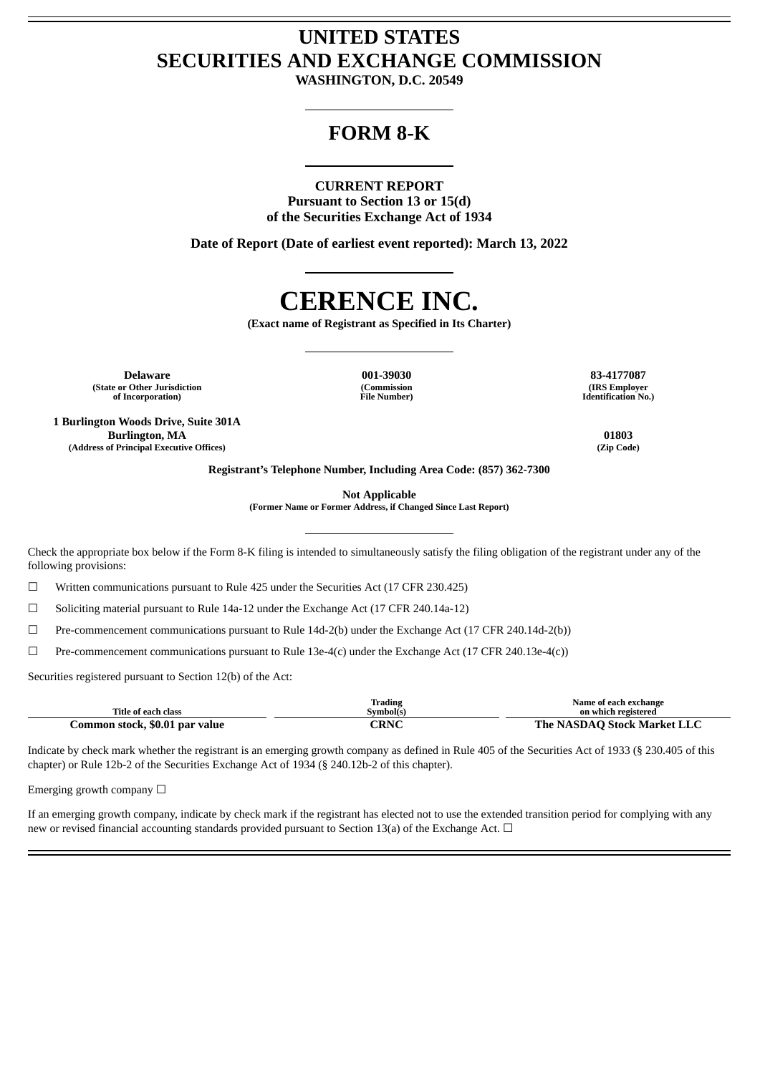## **UNITED STATES SECURITIES AND EXCHANGE COMMISSION**

**WASHINGTON, D.C. 20549**

### **FORM 8-K**

#### **CURRENT REPORT**

**Pursuant to Section 13 or 15(d) of the Securities Exchange Act of 1934**

**Date of Report (Date of earliest event reported): March 13, 2022**

# **CERENCE INC.**

**(Exact name of Registrant as Specified in Its Charter)**

**Delaware 001-39030 83-4177087 (State or Other Jurisdiction of Incorporation)**

**1 Burlington Woods Drive, Suite 301A Burlington, MA 01803 (Address of Principal Executive Offices) (Zip Code)**

**(Commission File Number)**

**(IRS Employer Identification No.)**

**Registrant's Telephone Number, Including Area Code: (857) 362-7300**

**Not Applicable**

**(Former Name or Former Address, if Changed Since Last Report)**

Check the appropriate box below if the Form 8-K filing is intended to simultaneously satisfy the filing obligation of the registrant under any of the following provisions:

 $\Box$  Written communications pursuant to Rule 425 under the Securities Act (17 CFR 230.425)

 $\Box$  Soliciting material pursuant to Rule 14a-12 under the Exchange Act (17 CFR 240.14a-12)

☐ Pre-commencement communications pursuant to Rule 14d-2(b) under the Exchange Act (17 CFR 240.14d-2(b))

 $\Box$  Pre-commencement communications pursuant to Rule 13e-4(c) under the Exchange Act (17 CFR 240.13e-4(c))

Securities registered pursuant to Section 12(b) of the Act:

|                                | 'rading         | Name of each exchange       |
|--------------------------------|-----------------|-----------------------------|
| Title of each class            | Symbol(s)       | on which registered         |
| Common stock, \$0.01 par value | ™DNC<br>J NJ NJ | The NASDAO Stock Market LLC |

Indicate by check mark whether the registrant is an emerging growth company as defined in Rule 405 of the Securities Act of 1933 (§ 230.405 of this chapter) or Rule 12b-2 of the Securities Exchange Act of 1934 (§ 240.12b-2 of this chapter).

Emerging growth company  $\Box$ 

If an emerging growth company, indicate by check mark if the registrant has elected not to use the extended transition period for complying with any new or revised financial accounting standards provided pursuant to Section 13(a) of the Exchange Act. □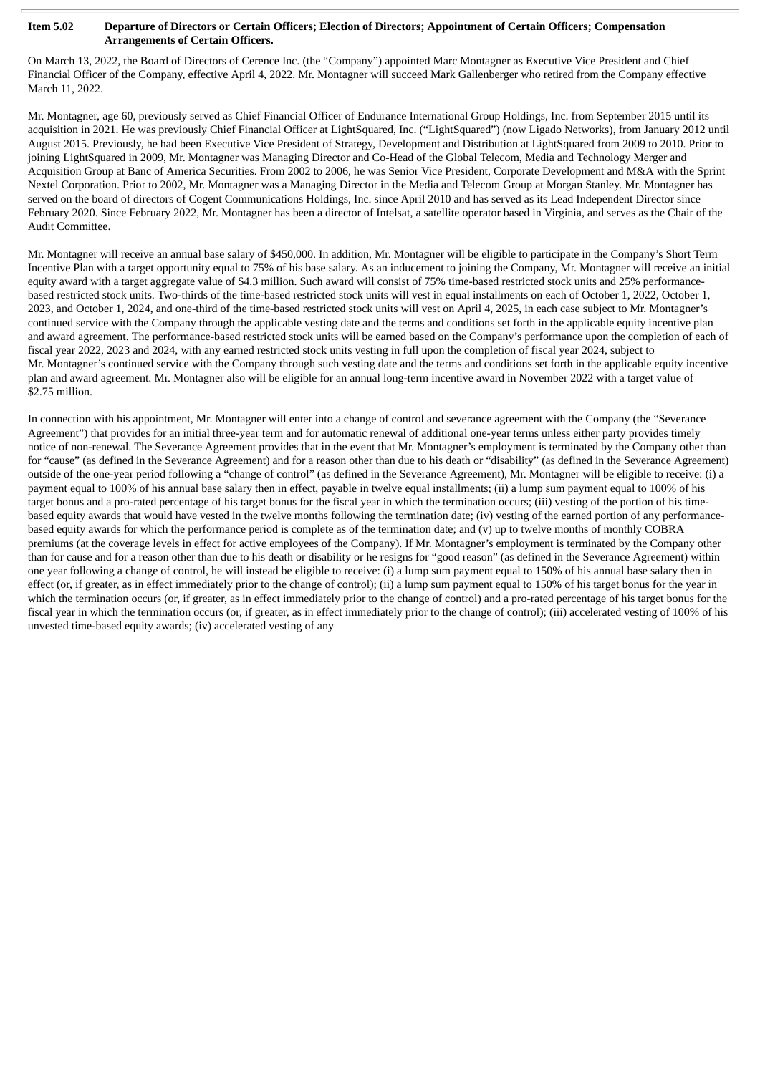#### Item 5.02 Departure of Directors or Certain Officers; Election of Directors; Appointment of Certain Officers; Compensation **Arrangements of Certain Officers.**

On March 13, 2022, the Board of Directors of Cerence Inc. (the "Company") appointed Marc Montagner as Executive Vice President and Chief Financial Officer of the Company, effective April 4, 2022. Mr. Montagner will succeed Mark Gallenberger who retired from the Company effective March 11, 2022.

Mr. Montagner, age 60, previously served as Chief Financial Officer of Endurance International Group Holdings, Inc. from September 2015 until its acquisition in 2021. He was previously Chief Financial Officer at LightSquared, Inc. ("LightSquared") (now Ligado Networks), from January 2012 until August 2015. Previously, he had been Executive Vice President of Strategy, Development and Distribution at LightSquared from 2009 to 2010. Prior to joining LightSquared in 2009, Mr. Montagner was Managing Director and Co-Head of the Global Telecom, Media and Technology Merger and Acquisition Group at Banc of America Securities. From 2002 to 2006, he was Senior Vice President, Corporate Development and M&A with the Sprint Nextel Corporation. Prior to 2002, Mr. Montagner was a Managing Director in the Media and Telecom Group at Morgan Stanley. Mr. Montagner has served on the board of directors of Cogent Communications Holdings, Inc. since April 2010 and has served as its Lead Independent Director since February 2020. Since February 2022, Mr. Montagner has been a director of Intelsat, a satellite operator based in Virginia, and serves as the Chair of the Audit Committee.

Mr. Montagner will receive an annual base salary of \$450,000. In addition, Mr. Montagner will be eligible to participate in the Company's Short Term Incentive Plan with a target opportunity equal to 75% of his base salary. As an inducement to joining the Company, Mr. Montagner will receive an initial equity award with a target aggregate value of \$4.3 million. Such award will consist of 75% time-based restricted stock units and 25% performancebased restricted stock units. Two-thirds of the time-based restricted stock units will vest in equal installments on each of October 1, 2022, October 1, 2023, and October 1, 2024, and one-third of the time-based restricted stock units will vest on April 4, 2025, in each case subject to Mr. Montagner's continued service with the Company through the applicable vesting date and the terms and conditions set forth in the applicable equity incentive plan and award agreement. The performance-based restricted stock units will be earned based on the Company's performance upon the completion of each of fiscal year 2022, 2023 and 2024, with any earned restricted stock units vesting in full upon the completion of fiscal year 2024, subject to Mr. Montagner's continued service with the Company through such vesting date and the terms and conditions set forth in the applicable equity incentive plan and award agreement. Mr. Montagner also will be eligible for an annual long-term incentive award in November 2022 with a target value of \$2.75 million.

In connection with his appointment, Mr. Montagner will enter into a change of control and severance agreement with the Company (the "Severance Agreement") that provides for an initial three-year term and for automatic renewal of additional one-year terms unless either party provides timely notice of non-renewal. The Severance Agreement provides that in the event that Mr. Montagner's employment is terminated by the Company other than for "cause" (as defined in the Severance Agreement) and for a reason other than due to his death or "disability" (as defined in the Severance Agreement) outside of the one-year period following a "change of control" (as defined in the Severance Agreement), Mr. Montagner will be eligible to receive: (i) a payment equal to 100% of his annual base salary then in effect, payable in twelve equal installments; (ii) a lump sum payment equal to 100% of his target bonus and a pro-rated percentage of his target bonus for the fiscal year in which the termination occurs; (iii) vesting of the portion of his timebased equity awards that would have vested in the twelve months following the termination date; (iv) vesting of the earned portion of any performancebased equity awards for which the performance period is complete as of the termination date; and (v) up to twelve months of monthly COBRA premiums (at the coverage levels in effect for active employees of the Company). If Mr. Montagner's employment is terminated by the Company other than for cause and for a reason other than due to his death or disability or he resigns for "good reason" (as defined in the Severance Agreement) within one year following a change of control, he will instead be eligible to receive: (i) a lump sum payment equal to 150% of his annual base salary then in effect (or, if greater, as in effect immediately prior to the change of control); (ii) a lump sum payment equal to 150% of his target bonus for the year in which the termination occurs (or, if greater, as in effect immediately prior to the change of control) and a pro-rated percentage of his target bonus for the fiscal year in which the termination occurs (or, if greater, as in effect immediately prior to the change of control); (iii) accelerated vesting of 100% of his unvested time-based equity awards; (iv) accelerated vesting of any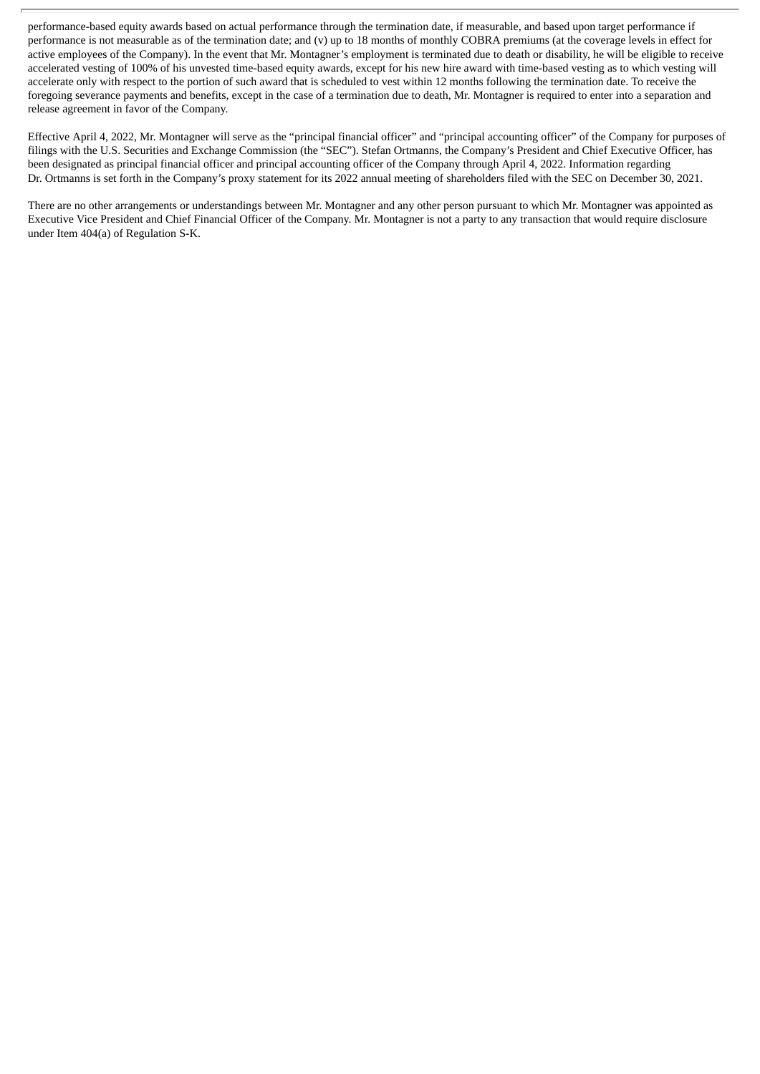performance-based equity awards based on actual performance through the termination date, if measurable, and based upon target performance if performance is not measurable as of the termination date; and (v) up to 18 months of monthly COBRA premiums (at the coverage levels in effect for active employees of the Company). In the event that Mr. Montagner's employment is terminated due to death or disability, he will be eligible to receive accelerated vesting of 100% of his unvested time-based equity awards, except for his new hire award with time-based vesting as to which vesting will accelerate only with respect to the portion of such award that is scheduled to vest within 12 months following the termination date. To receive the foregoing severance payments and benefits, except in the case of a termination due to death, Mr. Montagner is required to enter into a separation and release agreement in favor of the Company.

Effective April 4, 2022, Mr. Montagner will serve as the "principal financial officer" and "principal accounting officer" of the Company for purposes of filings with the U.S. Securities and Exchange Commission (the "SEC"). Stefan Ortmanns, the Company's President and Chief Executive Officer, has been designated as principal financial officer and principal accounting officer of the Company through April 4, 2022. Information regarding Dr. Ortmanns is set forth in the Company's proxy statement for its 2022 annual meeting of shareholders filed with the SEC on December 30, 2021.

There are no other arrangements or understandings between Mr. Montagner and any other person pursuant to which Mr. Montagner was appointed as Executive Vice President and Chief Financial Officer of the Company. Mr. Montagner is not a party to any transaction that would require disclosure under Item 404(a) of Regulation S-K.